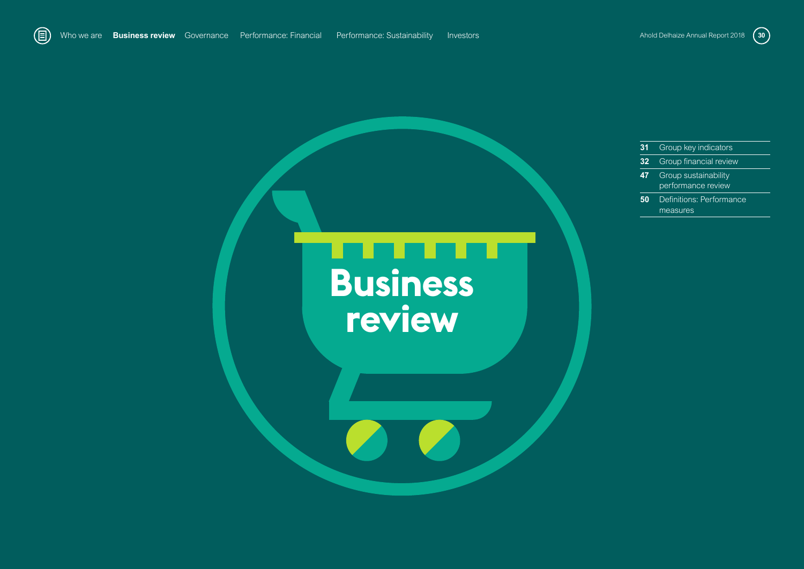

- **31** Group key indicators **32** Group financial review
- **47** Group sustainability performance review
- **50** Definitions: Performance measures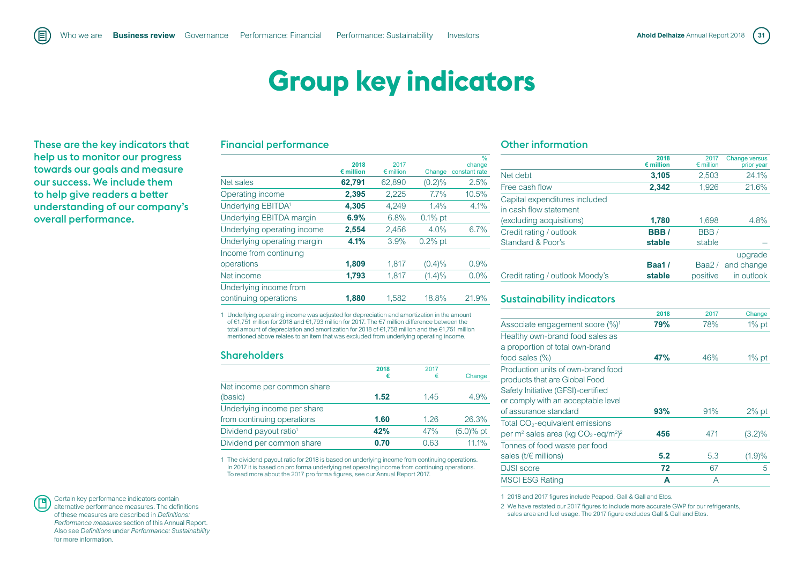# **Group key indicators**

These are the key indicators that help us to monitor our progress towards our goals and measure our success. We include them to help give readers a better understanding of our company's overall performance.

## Financial performance

|                                | 2018<br>$\epsilon$ million | 2017<br>$\epsilon$ million | Change     | %<br>change<br>constant rate |
|--------------------------------|----------------------------|----------------------------|------------|------------------------------|
| Net sales                      | 62,791                     | 62,890                     | $(0.2)\%$  | 2.5%                         |
| Operating income               | 2,395                      | 2,225                      | 7.7%       | 10.5%                        |
| Underlying EBITDA <sup>1</sup> | 4,305                      | 4,249                      | 1.4%       | 4.1%                         |
| Underlying EBITDA margin       | 6.9%                       | 6.8%                       | $0.1\%$ pt |                              |
| Underlying operating income    | 2,554                      | 2,456                      | 4.0%       | 6.7%                         |
| Underlying operating margin    | 4.1%                       | 3.9%                       | $0.2\%$ pt |                              |
| Income from continuing         |                            |                            |            |                              |
| operations                     | 1,809                      | 1,817                      | (0.4)%     | 0.9%                         |
| Net income                     | 1,793                      | 1,817                      | $(1.4)\%$  | 0.0%                         |
| Underlying income from         |                            |                            |            |                              |
| continuing operations          | 1.880                      | 1.582                      | 18.8%      | 21.9%                        |

1 Underlying operating income was adjusted for depreciation and amortization in the amount of €1,751 million for 2018 and €1,793 million for 2017. The €7 million difference between the total amount of depreciation and amortization for 2018 of €1,758 million and the €1,751 million mentioned above relates to an item that was excluded from underlying operating income.

#### **Shareholders**

|                                    | 2018 | 2017 |             |
|------------------------------------|------|------|-------------|
|                                    | €    | €    | Change      |
| Net income per common share        |      |      |             |
| (basic)                            | 1.52 | 1.45 | 4.9%        |
| Underlying income per share        |      |      |             |
| from continuing operations         | 1.60 | 1.26 | 26.3%       |
| Dividend payout ratio <sup>1</sup> | 42%  | 47%  | $(5.0)%$ pt |
| Dividend per common share          | 0.70 | 0.63 | 11.1%       |

1 The dividend payout ratio for 2018 is based on underlying income from continuing operations. In 2017 it is based on pro forma underlying net operating income from continuing operations. To read more about the 2017 pro forma figures, see our Annual Report 2017.

## Other information

|                                                         | 2018<br>$\epsilon$ million | 2017<br>$\epsilon$ million | <b>Change versus</b><br>prior year |
|---------------------------------------------------------|----------------------------|----------------------------|------------------------------------|
| Net debt                                                | 3,105                      | 2,503                      | 24.1%                              |
| Free cash flow                                          | 2,342                      | 1,926                      | 21.6%                              |
| Capital expenditures included<br>in cash flow statement |                            |                            |                                    |
| (excluding acquisitions)                                | 1,780                      | 1,698                      | 4.8%                               |
| Credit rating / outlook                                 | BBB/                       | BBB/                       |                                    |
| Standard & Poor's                                       | stable                     | stable                     |                                    |
|                                                         |                            |                            | upgrade                            |
| Credit rating / outlook Moody's                         | <b>Baa1/</b><br>stable     | Baa2 $/$<br>positive       | and change<br>in outlook           |
|                                                         |                            |                            |                                    |

## Sustainability indicators

| 2018 | 2017 | Change    |
|------|------|-----------|
| 79%  | 78%  | $1\%$ pt  |
|      |      |           |
|      |      |           |
| 47%  | 46%  | $1\%$ pt  |
|      |      |           |
|      |      |           |
|      |      |           |
|      |      |           |
| 93%  | 91%  | $2\%$ pt  |
|      |      |           |
| 456  | 471  | $(3.2)\%$ |
|      |      |           |
| 5.2  | 5.3  | (1.9)%    |
| 72   | 67   | 5         |
| A    | A    |           |
|      |      |           |

1 2018 and 2017 figures include Peapod, Gall & Gall and Etos.

2 We have restated our 2017 figures to include more accurate GWP for our refrigerants, sales area and fuel usage. The 2017 figure excludes Gall & Gall and Etos.

Certain key performance indicators contain alternative performance measures. The definitions of these measures are described in *Definitions: Performance measures* section of this Annual Report. Also see *Definitions* under *Performance: Sustainability*  for more information.

F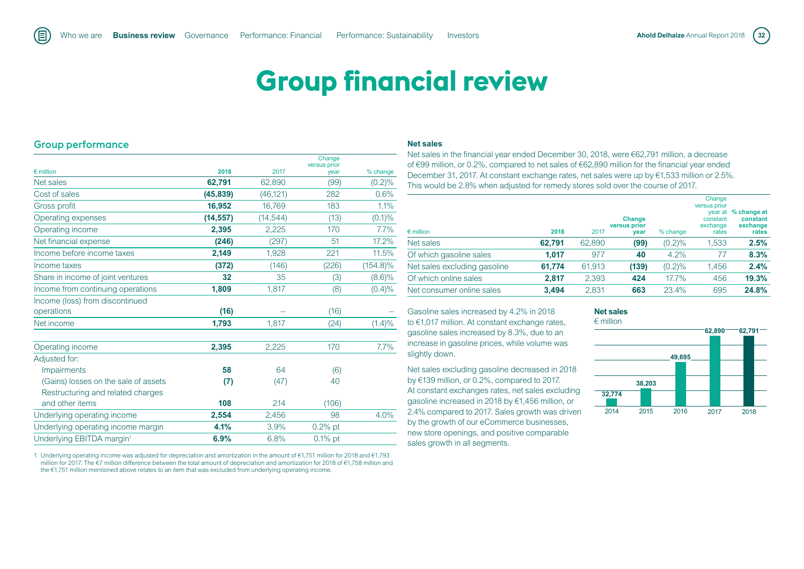# **Group financial review**

## Group performance

旧

|                                       |           |           | Change<br>versus prior |             |
|---------------------------------------|-----------|-----------|------------------------|-------------|
| $\epsilon$ million                    | 2018      | 2017      | year                   | % change    |
| Net sales                             | 62,791    | 62,890    | (99)                   | $(0.2)\%$   |
| Cost of sales                         | (45, 839) | (46, 121) | 282                    | 0.6%        |
| Gross profit                          | 16,952    | 16,769    | 183                    | 1.1%        |
| Operating expenses                    | (14, 557) | (14, 544) | (13)                   | $(0.1)\%$   |
| Operating income                      | 2,395     | 2,225     | 170                    | $7.7\%$     |
| Net financial expense                 | (246)     | (297)     | 51                     | 17.2%       |
| Income before income taxes            | 2,149     | 1,928     | 221                    | 11.5%       |
| Income taxes                          | (372)     | (146)     | (226)                  | $(154.8)\%$ |
| Share in income of joint ventures     | 32        | 35        | (3)                    | $(8.6)\%$   |
| Income from continuing operations     | 1,809     | 1.817     | (8)                    | $(0.4)\%$   |
| Income (loss) from discontinued       |           |           |                        |             |
| operations                            | (16)      |           | (16)                   |             |
| Net income                            | 1.793     | 1,817     | (24)                   | (1.4)%      |
| Operating income                      | 2,395     | 2,225     | 170                    | 7.7%        |
| Adjusted for:                         |           |           |                        |             |
| <b>Impairments</b>                    | 58        | 64        | (6)                    |             |
| (Gains) losses on the sale of assets  | (7)       | (47)      | 40                     |             |
| Restructuring and related charges     |           |           |                        |             |
| and other items                       | 108       | 214       | (106)                  |             |
| Underlying operating income           | 2,554     | 2,456     | 98                     | 4.0%        |
| Underlying operating income margin    | 4.1%      | 3.9%      | $0.2%$ pt              |             |
| Underlying EBITDA margin <sup>1</sup> | 6.9%      | 6.8%      | $0.1\%$ pt             |             |

1 Underlying operating income was adjusted for depreciation and amortization in the amount of €1,751 million for 2018 and €1,793 million for 2017. The €7 million difference between the total amount of depreciation and amortization for 2018 of €1,758 million and the €1,751 million mentioned above relates to an item that was excluded from underlying operating income.

#### **Net sales**

Net sales in the financial year ended December 30, 2018, were €62,791 million, a decrease of €99 million, or 0.2%, compared to net sales of €62,890 million for the financial year ended December 31, 2017. At constant exchange rates, net sales were up by €1,533 million or 2.5%. This would be 2.8% when adjusted for remedy stores sold over the course of 2017.

| $\epsilon$ million           | 2018   | 2017   | <b>Change</b><br>versus prior<br>year | $%$ change | Change<br>versus prior<br>constant<br>exchange<br>rates | year at % change at<br>constant<br>exchange<br>rates |
|------------------------------|--------|--------|---------------------------------------|------------|---------------------------------------------------------|------------------------------------------------------|
| Net sales                    | 62,791 | 62,890 | (99)                                  | (0.2)%     | 1,533                                                   | 2.5%                                                 |
| Of which gasoline sales      | 1.017  | 977    | 40                                    | 4.2%       | 77                                                      | 8.3%                                                 |
| Net sales excluding gasoline | 61,774 | 61,913 | (139)                                 | (0.2)%     | 1,456                                                   | 2.4%                                                 |
| Of which online sales        | 2.817  | 2,393  | 424                                   | 17.7%      | 456                                                     | 19.3%                                                |
| Net consumer online sales    | 3.494  | 2.831  | 663                                   | 23.4%      | 695                                                     | 24.8%                                                |

Gasoline sales increased by 4.2% in 2018 to €1,017 million. At constant exchange rates, gasoline sales increased by 8.3%, due to an increase in gasoline prices, while volume was slightly down.

Net sales excluding gasoline decreased in 2018 by €139 million, or 0.2%, compared to 2017. At constant exchanges rates, net sales excluding gasoline increased in 2018 by €1,456 million, or 2.4% compared to 2017. Sales growth was driven by the growth of our eCommerce businesses, new store openings, and positive comparable sales growth in all segments.

#### **Net sales**  € million

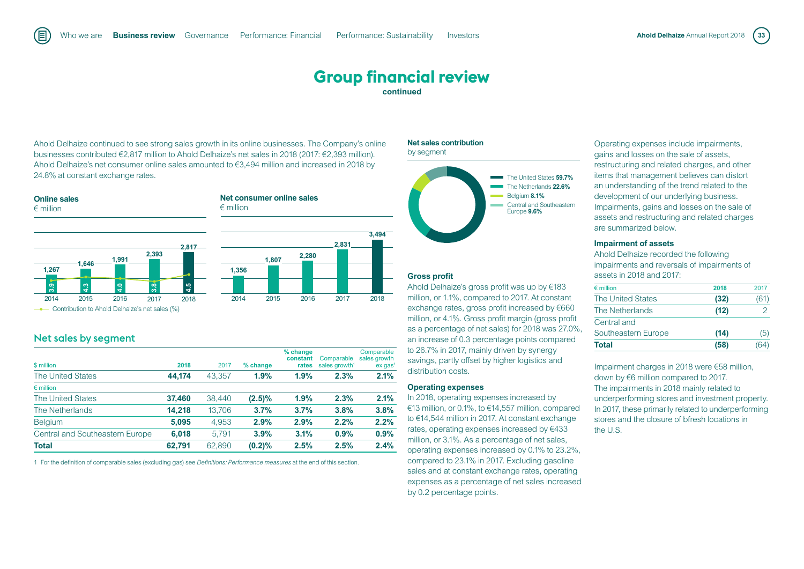Ahold Delhaize continued to see strong sales growth in its online businesses. The Company's online businesses contributed €2,817 million to Ahold Delhaize's net sales in 2018 (2017: €2,393 million). Ahold Delhaize's net consumer online sales amounted to €3,494 million and increased in 2018 by 24.8% at constant exchange rates.





**--** Contribution to Ahold Delhaize's net sales (%)

## Net sales by segment

旧

| \$ million                      | 2018   | 2017   | % change  | % change<br>constant<br>rates | Comparable<br>sales growth <sup>1</sup> | Comparable<br>sales growth<br>$ex$ gas <sup>1</sup> |
|---------------------------------|--------|--------|-----------|-------------------------------|-----------------------------------------|-----------------------------------------------------|
| <b>The United States</b>        | 44.174 | 43.357 | 1.9%      | 1.9%                          | 2.3%                                    | 2.1%                                                |
| $\epsilon$ million              |        |        |           |                               |                                         |                                                     |
| <b>The United States</b>        | 37.460 | 38.440 | $(2.5)\%$ | 1.9%                          | 2.3%                                    | 2.1%                                                |
| The Netherlands                 | 14.218 | 13.706 | 3.7%      | 3.7%                          | 3.8%                                    | 3.8%                                                |
| <b>Belgium</b>                  | 5.095  | 4.953  | 2.9%      | 2.9%                          | 2.2%                                    | 2.2%                                                |
| Central and Southeastern Europe | 6.018  | 5.791  | 3.9%      | 3.1%                          | 0.9%                                    | 0.9%                                                |
| <b>Total</b>                    | 62.791 | 62.890 | (0.2)%    | 2.5%                          | 2.5%                                    | 2.4%                                                |

1 For the definition of comparable sales (excluding gas) see *Definitions: Performance measures* at the end of this section.

#### **Net sales contribution** by segment



#### **Gross profit**

Ahold Delhaize's gross profit was up by €183 million, or 1.1%, compared to 2017. At constant exchange rates, gross profit increased by €660 million, or 4.1%. Gross profit margin (gross profit as a percentage of net sales) for 2018 was 27.0%, an increase of 0.3 percentage points compared to 26.7% in 2017, mainly driven by synergy savings, partly offset by higher logistics and distribution costs.

#### **Operating expenses**

In 2018, operating expenses increased by €13 million, or 0.1%, to €14,557 million, compared to €14,544 million in 2017. At constant exchange rates, operating expenses increased by €433 million, or 3.1%. As a percentage of net sales, operating expenses increased by 0.1% to 23.2%, compared to 23.1% in 2017. Excluding gasoline sales and at constant exchange rates, operating expenses as a percentage of net sales increased by 0.2 percentage points.

Operating expenses include impairments, gains and losses on the sale of assets, restructuring and related charges, and other items that management believes can distort an understanding of the trend related to the development of our underlying business. Impairments, gains and losses on the sale of assets and restructuring and related charges are summarized below.

#### **Impairment of assets**

Ahold Delhaize recorded the following impairments and reversals of impairments of assets in 2018 and 2017:

| $\epsilon$ million  | 2018 | 2017 |
|---------------------|------|------|
| The United States   | (32) | (61) |
| The Netherlands     | (12) |      |
| Central and         |      |      |
| Southeastern Europe | (14) | (ხ   |
| Total               | (58) |      |

Impairment charges in 2018 were €58 million, down by €6 million compared to 2017. The impairments in 2018 mainly related to underperforming stores and investment property. In 2017, these primarily related to underperforming stores and the closure of bfresh locations in the U.S.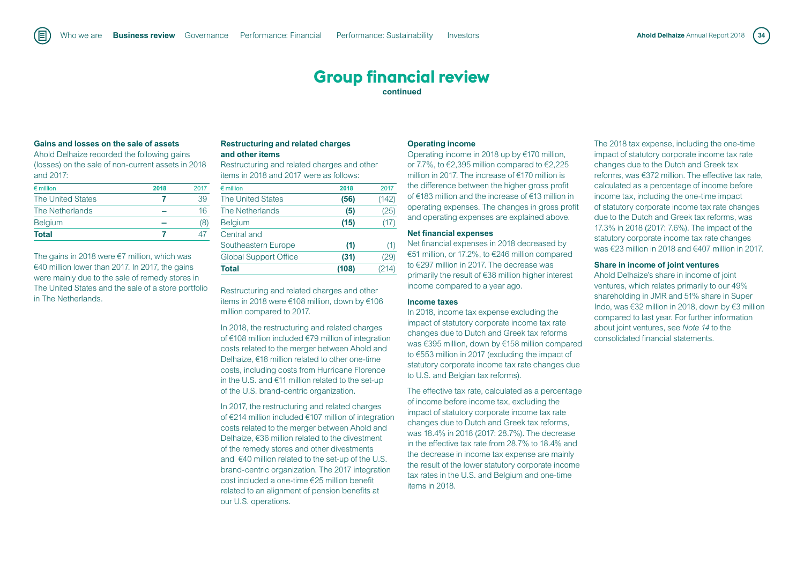### **Gains and losses on the sale of assets**

Ahold Delhaize recorded the following gains (losses) on the sale of non-current assets in 2018 and 2017:

| $\epsilon$ million       | 2018 | 2017 |
|--------------------------|------|------|
| <b>The United States</b> |      | 39   |
| The Netherlands          |      | 16   |
| Belgium                  |      |      |
| <b>Total</b>             |      |      |

The gains in 2018 were €7 million, which was €40 million lower than 2017. In 2017, the gains were mainly due to the sale of remedy stores in The United States and the sale of a store portfolio in The Netherlands.

#### **Restructuring and related charges and other items**

Restructuring and related charges and other items in 2018 and 2017 were as follows:

| <b>Total</b>                 | (108) | (214) |
|------------------------------|-------|-------|
| <b>Global Support Office</b> | (31)  | (29)  |
| Southeastern Europe          | (1)   | (1)   |
| Central and                  |       |       |
| <b>Belgium</b>               | (15)  | (17)  |
| The Netherlands              | (5)   | (25)  |
| <b>The United States</b>     | (56)  | (142) |
| $\epsilon$ million           | 2018  | 2017  |

Restructuring and related charges and other items in 2018 were €108 million, down by €106 million compared to 2017.

In 2018, the restructuring and related charges of €108 million included €79 million of integration costs related to the merger between Ahold and Delhaize, €18 million related to other one-time costs, including costs from Hurricane Florence in the U.S. and €11 million related to the set-up of the U.S. brand-centric organization.

In 2017, the restructuring and related charges of €214 million included €107 million of integration costs related to the merger between Ahold and Delhaize, €36 million related to the divestment of the remedy stores and other divestments and €40 million related to the set-up of the U.S. brand-centric organization. The 2017 integration cost included a one-time €25 million benefit related to an alignment of pension benefits at our U.S. operations.

#### **Operating income**

Operating income in 2018 up by €170 million, or 7.7%, to €2,395 million compared to €2,225 million in 2017. The increase of €170 million is the difference between the higher gross profit of €183 million and the increase of €13 million in operating expenses. The changes in gross profit and operating expenses are explained above.

#### **Net financial expenses**

Net financial expenses in 2018 decreased by €51 million, or 17.2%, to €246 million compared to €297 million in 2017. The decrease was primarily the result of €38 million higher interest income compared to a year ago.

#### **Income taxes**

In 2018, income tax expense excluding the impact of statutory corporate income tax rate changes due to Dutch and Greek tax reforms was €395 million, down by €158 million compared to €553 million in 2017 (excluding the impact of statutory corporate income tax rate changes due to U.S. and Belgian tax reforms).

The effective tax rate, calculated as a percentage of income before income tax, excluding the impact of statutory corporate income tax rate changes due to Dutch and Greek tax reforms, was 18.4% in 2018 (2017: 28.7%). The decrease in the effective tax rate from 28.7% to 18.4% and the decrease in income tax expense are mainly the result of the lower statutory corporate income tax rates in the U.S. and Belgium and one-time items in 2018.

The 2018 tax expense, including the one-time impact of statutory corporate income tax rate changes due to the Dutch and Greek tax reforms, was €372 million. The effective tax rate, calculated as a percentage of income before income tax, including the one-time impact of statutory corporate income tax rate changes due to the Dutch and Greek tax reforms, was 17.3% in 2018 (2017: 7.6%). The impact of the statutory corporate income tax rate changes was €23 million in 2018 and €407 million in 2017.

#### **Share in income of joint ventures**

Ahold Delhaize's share in income of joint ventures, which relates primarily to our 49% shareholding in JMR and 51% share in Super Indo, was €32 million in 2018, down by €3 million compared to last year. For further information about joint ventures, see *Note 14* to the consolidated financial statements.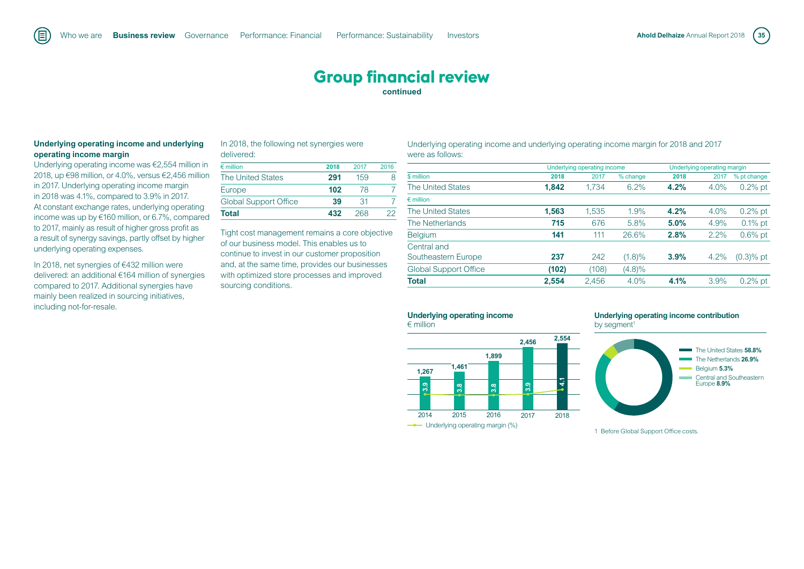#### **Underlying operating income and underlying operating income margin**

Underlying operating income was €2,554 million in 2018, up €98 million, or 4.0%, versus €2,456 million in 2017. Underlying operating income margin in 2018 was 4.1%, compared to 3.9% in 2017. At constant exchange rates, underlying operating income was up by €160 million, or 6.7%, compared to 2017, mainly as result of higher gross profit as a result of synergy savings, partly offset by higher underlying operating expenses.

In 2018, net synergies of €432 million were delivered: an additional €164 million of synergies compared to 2017. Additional synergies have mainly been realized in sourcing initiatives, including not-for-resale.

#### In 2018, the following net synergies were delivered:

| $\epsilon$ million           | 2018 | 2017 | 2016 |
|------------------------------|------|------|------|
| <b>The United States</b>     | 291  | 159  |      |
| Europe                       | 102  | 78   |      |
| <b>Global Support Office</b> | 39   | 31   |      |
| Total                        | 432  | 268  | פיכי |

Tight cost management remains a core objective of our business model. This enables us to continue to invest in our customer proposition and, at the same time, provides our businesses with optimized store processes and improved sourcing conditions.

#### Underlying operating income and underlying operating income margin for 2018 and 2017 were as follows:

**2,554**

|                              |       | Underlying operating income |          |      | Underlying operating margin |              |
|------------------------------|-------|-----------------------------|----------|------|-----------------------------|--------------|
| \$ million                   | 2018  | 2017                        | % change | 2018 | 2017                        | % pt change  |
| <b>The United States</b>     | 1,842 | 1.734                       | 6.2%     | 4.2% | 4.0%                        | $0.2\%$ pt   |
| $\epsilon$ million           |       |                             |          |      |                             |              |
| <b>The United States</b>     | 1,563 | 1,535                       | 1.9%     | 4.2% | 4.0%                        | $0.2\%$ pt   |
| The Netherlands              | 715   | 676                         | 5.8%     | 5.0% | 4.9%                        | $0.1\%$ pt   |
| <b>Belgium</b>               | 141   | 111                         | 26.6%    | 2.8% | 2.2%                        | $0.6\%$ pt   |
| Central and                  |       |                             |          |      |                             |              |
| Southeastern Europe          | 237   | 242                         | (1.8)%   | 3.9% | 4.2%                        | $(0.3)$ % pt |
| <b>Global Support Office</b> | (102) | (108)                       | (4.8)%   |      |                             |              |
| Total                        | 2,554 | 2,456                       | 4.0%     | 4.1% | 3.9%                        | $0.2\%$ pt   |
|                              |       |                             |          |      |                             |              |

#### **Underlying operating income**





#### **Underlying operating income contribution** by segment<sup>1</sup>



1 Before Global Support Office costs.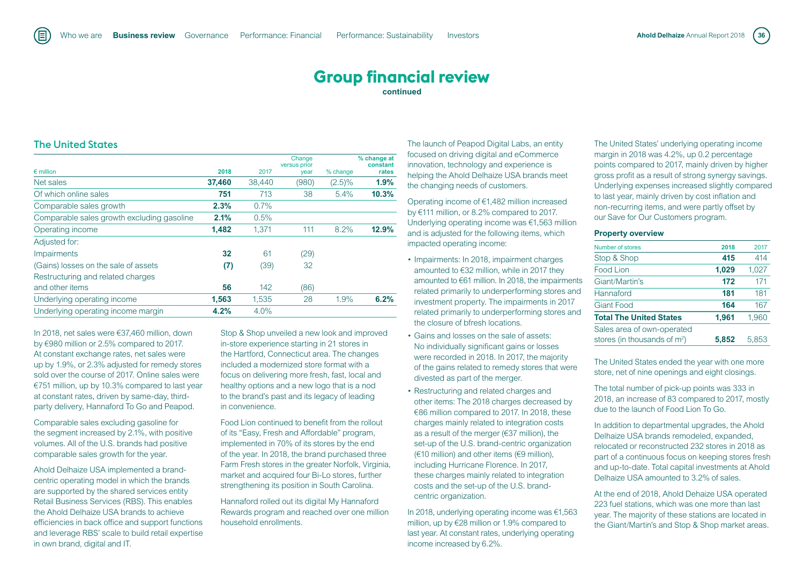The United States

|                                            |        |        | Change<br>versus prior |           | % change at<br>constant |
|--------------------------------------------|--------|--------|------------------------|-----------|-------------------------|
| $\epsilon$ million                         | 2018   | 2017   | year                   | % change  | rates                   |
| Net sales                                  | 37,460 | 38,440 | (980)                  | $(2.5)\%$ | 1.9%                    |
| Of which online sales                      | 751    | 713    | 38                     | 5.4%      | 10.3%                   |
| Comparable sales growth                    | 2.3%   | 0.7%   |                        |           |                         |
| Comparable sales growth excluding gasoline | 2.1%   | 0.5%   |                        |           |                         |
| Operating income                           | 1.482  | 1.371  | 111                    | 8.2%      | 12.9%                   |
| Adjusted for:                              |        |        |                        |           |                         |
| <b>Impairments</b>                         | 32     | 61     | (29)                   |           |                         |
| (Gains) losses on the sale of assets       | (7)    | (39)   | 32                     |           |                         |
| Restructuring and related charges          |        |        |                        |           |                         |
| and other items                            | 56     | 142    | (86)                   |           |                         |
| Underlying operating income                | 1,563  | 1,535  | 28                     | 1.9%      | 6.2%                    |
| Underlying operating income margin         | 4.2%   | 4.0%   |                        |           |                         |

In 2018, net sales were €37,460 million, down by €980 million or 2.5% compared to 2017. At constant exchange rates, net sales were up by 1.9%, or 2.3% adjusted for remedy stores sold over the course of 2017. Online sales were €751 million, up by 10.3% compared to last year at constant rates, driven by same-day, thirdparty delivery, Hannaford To Go and Peapod.

Comparable sales excluding gasoline for the segment increased by 2.1%, with positive volumes. All of the U.S. brands had positive comparable sales growth for the year.

Ahold Delhaize USA implemented a brandcentric operating model in which the brands are supported by the shared services entity Retail Business Services (RBS). This enables the Ahold Delhaize USA brands to achieve efficiencies in back office and support functions and leverage RBS' scale to build retail expertise in own brand, digital and IT.

Stop & Shop unveiled a new look and improved in-store experience starting in 21 stores in the Hartford, Connecticut area. The changes included a modernized store format with a focus on delivering more fresh, fast, local and healthy options and a new logo that is a nod to the brand's past and its legacy of leading in convenience.

Food Lion continued to benefit from the rollout of its "Easy, Fresh and Affordable" program, implemented in 70% of its stores by the end of the year. In 2018, the brand purchased three Farm Fresh stores in the greater Norfolk, Virginia, market and acquired four Bi-Lo stores, further strengthening its position in South Carolina.

Hannaford rolled out its digital My Hannaford Rewards program and reached over one million household enrollments.

The launch of Peapod Digital Labs, an entity focused on driving digital and eCommerce innovation, technology and experience is helping the Ahold Delhaize USA brands meet the changing needs of customers.

Operating income of €1,482 million increased by €111 million, or 8.2% compared to 2017. Underlying operating income was €1,563 million and is adjusted for the following items, which impacted operating income:

- Impairments: In 2018, impairment charges amounted to €32 million, while in 2017 they amounted to €61 million. In 2018, the impairments related primarily to underperforming stores and investment property. The impairments in 2017 related primarily to underperforming stores and the closure of bfresh locations.
- Gains and losses on the sale of assets: No individually significant gains or losses were recorded in 2018. In 2017, the majority of the gains related to remedy stores that were divested as part of the merger.
- Restructuring and related charges and other items: The 2018 charges decreased by €86 million compared to 2017. In 2018, these charges mainly related to integration costs as a result of the merger (€37 million), the set-up of the U.S. brand-centric organization  $(610 \text{ million})$  and other items  $(69 \text{ million})$ , including Hurricane Florence. In 2017, these charges mainly related to integration costs and the set-up of the U.S. brandcentric organization.

In 2018, underlying operating income was €1,563 million, up by €28 million or 1.9% compared to last year. At constant rates, underlying operating income increased by 6.2%.

The United States' underlying operating income margin in 2018 was 4.2%, up 0.2 percentage points compared to 2017, mainly driven by higher gross profit as a result of strong synergy savings. Underlying expenses increased slightly compared to last year, mainly driven by cost inflation and non-recurring items, and were partly offset by our Save for Our Customers program.

#### **Property overview**

| Number of stores               | 2018  | 2017  |
|--------------------------------|-------|-------|
| Stop & Shop                    | 415   | 414   |
| Food Lion                      | 1,029 | 1,027 |
| Giant/Martin's                 | 172   | 171   |
| Hannaford                      | 181   | 181   |
| <b>Giant Food</b>              | 164   | 167   |
| <b>Total The United States</b> | 1,961 | 1.960 |
| Sales area of own-operated     |       |       |
| stores (in thousands of $m2$ ) | 5.852 | 5.853 |

The United States ended the year with one more store, net of nine openings and eight closings.

The total number of pick-up points was 333 in 2018, an increase of 83 compared to 2017, mostly due to the launch of Food Lion To Go.

In addition to departmental upgrades, the Ahold Delhaize USA brands remodeled, expanded, relocated or reconstructed 232 stores in 2018 as part of a continuous focus on keeping stores fresh and up-to-date. Total capital investments at Ahold Delhaize USA amounted to 3.2% of sales.

At the end of 2018, Ahold Dehaize USA operated 223 fuel stations, which was one more than last year. The majority of these stations are located in the Giant/Martin's and Stop & Shop market areas.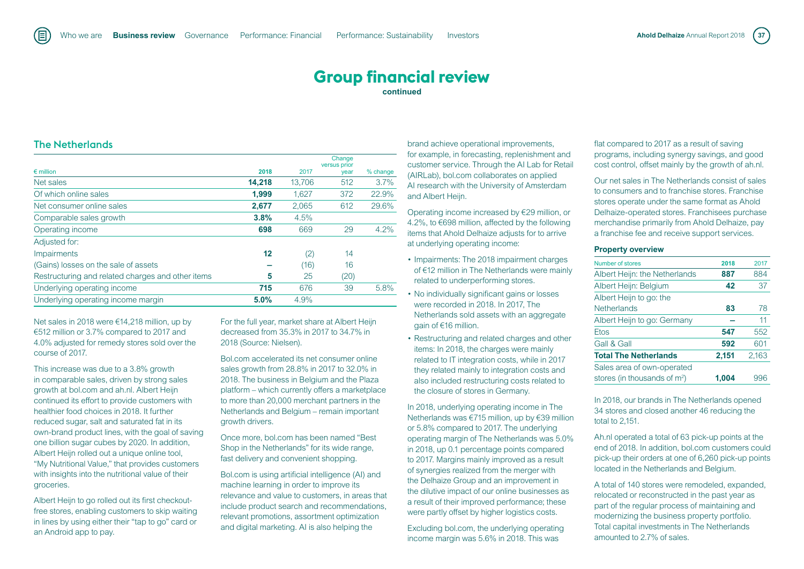### The Netherlands

|                                                   |        |        | Change<br>versus prior |          |
|---------------------------------------------------|--------|--------|------------------------|----------|
| $\epsilon$ million                                | 2018   | 2017   | year                   | % change |
| Net sales                                         | 14,218 | 13,706 | 512                    | 3.7%     |
| Of which online sales                             | 1.999  | 1.627  | 372                    | 22.9%    |
| Net consumer online sales                         | 2,677  | 2,065  | 612                    | 29.6%    |
| Comparable sales growth                           | 3.8%   | 4.5%   |                        |          |
| Operating income                                  | 698    | 669    | 29                     | 4.2%     |
| Adjusted for:                                     |        |        |                        |          |
| <b>Impairments</b>                                | 12     | (2)    | 14                     |          |
| (Gains) losses on the sale of assets              |        | (16)   | 16                     |          |
| Restructuring and related charges and other items | 5      | 25     | (20)                   |          |
| Underlying operating income                       | 715    | 676    | 39                     | 5.8%     |
| Underlying operating income margin                | 5.0%   | 4.9%   |                        |          |

Net sales in 2018 were €14,218 million, up by €512 million or 3.7% compared to 2017 and 4.0% adjusted for remedy stores sold over the course of 2017.

This increase was due to a 3.8% growth in comparable sales, driven by strong sales growth at bol.com and ah.nl. Albert Heijn continued its effort to provide customers with healthier food choices in 2018. It further reduced sugar, salt and saturated fat in its own-brand product lines, with the goal of saving one billion sugar cubes by 2020. In addition, Albert Heijn rolled out a unique online tool, "My Nutritional Value," that provides customers with insights into the nutritional value of their groceries.

Albert Heijn to go rolled out its first checkoutfree stores, enabling customers to skip waiting in lines by using either their "tap to go" card or an Android app to pay.

For the full year, market share at Albert Heijn decreased from 35.3% in 2017 to 34.7% in 2018 (Source: Nielsen).

Bol.com accelerated its net consumer online sales growth from 28.8% in 2017 to 32.0% in 2018. The business in Belgium and the Plaza platform – which currently offers a marketplace to more than 20,000 merchant partners in the Netherlands and Belgium – remain important growth drivers.

Once more, bol.com has been named "Best Shop in the Netherlands" for its wide range, fast delivery and convenient shopping.

Bol.com is using artificial intelligence (AI) and machine learning in order to improve its relevance and value to customers, in areas that include product search and recommendations, relevant promotions, assortment optimization and digital marketing. AI is also helping the

brand achieve operational improvements, for example, in forecasting, replenishment and customer service. Through the AI Lab for Retail (AIRLab), bol.com collaborates on applied AI research with the University of Amsterdam and Albert Heijn.

Operating income increased by €29 million, or 4.2%, to €698 million, affected by the following items that Ahold Delhaize adjusts for to arrive at underlying operating income:

- Impairments: The 2018 impairment charges of €12 million in The Netherlands were mainly related to underperforming stores.
- No individually significant gains or losses were recorded in 2018. In 2017, The Netherlands sold assets with an aggregate gain of €16 million.
- Restructuring and related charges and other items: In 2018, the charges were mainly related to IT integration costs, while in 2017 they related mainly to integration costs and also included restructuring costs related to the closure of stores in Germany.

In 2018, underlying operating income in The Netherlands was €715 million, up by €39 million or 5.8% compared to 2017. The underlying operating margin of The Netherlands was 5.0% in 2018, up 0.1 percentage points compared to 2017. Margins mainly improved as a result of synergies realized from the merger with the Delhaize Group and an improvement in the dilutive impact of our online businesses as a result of their improved performance; these were partly offset by higher logistics costs.

Excluding bol.com, the underlying operating income margin was 5.6% in 2018. This was

flat compared to 2017 as a result of saving programs, including synergy savings, and good cost control, offset mainly by the growth of ah.nl.

Our net sales in The Netherlands consist of sales to consumers and to franchise stores. Franchise stores operate under the same format as Ahold Delhaize-operated stores. Franchisees purchase merchandise primarily from Ahold Delhaize, pay a franchise fee and receive support services.

#### **Property overview**

| Number of stores                | 2018  | 2017  |
|---------------------------------|-------|-------|
| Albert Heijn: the Netherlands   | 887   | 884   |
| Albert Heijn: Belgium           | 42    | 37    |
| Albert Heijn to go: the         |       |       |
| <b>Netherlands</b>              | 83    | 78    |
| Albert Heijn to go: Germany     |       | 11    |
| <b>Etos</b>                     | 547   | 552   |
| Gall & Gall                     | 592   | 601   |
| <b>Total The Netherlands</b>    | 2,151 | 2,163 |
| Sales area of own-operated      |       |       |
| stores (in thousands of $m^2$ ) | 1,004 | 996   |

In 2018, our brands in The Netherlands opened 34 stores and closed another 46 reducing the total to 2,151.

Ah.nl operated a total of 63 pick-up points at the end of 2018. In addition, bol.com customers could pick-up their orders at one of 6,260 pick-up points located in the Netherlands and Belgium.

A total of 140 stores were remodeled, expanded, relocated or reconstructed in the past year as part of the regular process of maintaining and modernizing the business property portfolio. Total capital investments in The Netherlands amounted to 2.7% of sales.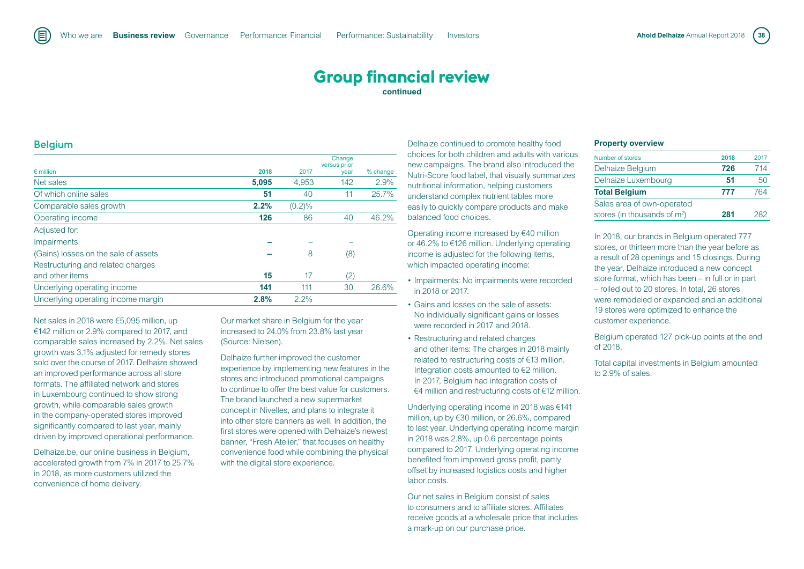#### **Belgium**

|                                      |       |           | Change<br>versus prior |          |
|--------------------------------------|-------|-----------|------------------------|----------|
| $\epsilon$ million                   | 2018  | 2017      | year                   | % change |
| Net sales                            | 5,095 | 4,953     | 142                    | 2.9%     |
| Of which online sales                | 51    | 40        | 11                     | 25.7%    |
| Comparable sales growth              | 2.2%  | $(0.2)\%$ |                        |          |
| Operating income                     | 126   | 86        | 40                     | 46.2%    |
| Adjusted for:                        |       |           |                        |          |
| Impairments                          |       |           |                        |          |
| (Gains) losses on the sale of assets |       | 8         | (8)                    |          |
| Restructuring and related charges    |       |           |                        |          |
| and other items                      | 15    | 17        | (2)                    |          |
| Underlying operating income          | 141   | 111       | 30                     | 26.6%    |
| Underlying operating income margin   | 2.8%  | 2.2%      |                        |          |

Net sales in 2018 were €5,095 million, up €142 million or 2.9% compared to 2017, and comparable sales increased by 2.2%. Net sales growth was 3.1% adjusted for remedy stores sold over the course of 2017. Delhaize showed an improved performance across all store formats. The affiliated network and stores in Luxembourg continued to show strong growth, while comparable sales growth in the company-operated stores improved significantly compared to last year, mainly driven by improved operational performance.

Delhaize.be, our online business in Belgium, accelerated growth from 7% in 2017 to 25.7% in 2018, as more customers utilized the convenience of home delivery.

Our market share in Belgium for the year increased to 24.0% from 23.8% last year (Source: Nielsen).

Delhaize further improved the customer experience by implementing new features in the stores and introduced promotional campaigns to continue to offer the best value for customers. The brand launched a new supermarket concept in Nivelles, and plans to integrate it into other store banners as well. In addition, the first stores were opened with Delhaize's newest banner, "Fresh Atelier," that focuses on healthy convenience food while combining the physical with the digital store experience.

Delhaize continued to promote healthy food choices for both children and adults with various new campaigns. The brand also introduced the Nutri-Score food label, that visually summarizes nutritional information, helping customers understand complex nutrient tables more easily to quickly compare products and make balanced food choices.

Operating income increased by €40 million or 46.2% to €126 million. Underlying operating income is adjusted for the following items, which impacted operating income:

- Impairments: No impairments were recorded in 2018 or 2017.
- Gains and losses on the sale of assets: No individually significant gains or losses were recorded in 2017 and 2018.
- Restructuring and related charges and other items: The charges in 2018 mainly related to restructuring costs of €13 million. Integration costs amounted to €2 million. In 2017, Belgium had integration costs of €4 million and restructuring costs of €12 million.

Underlying operating income in 2018 was €141 million, up by €30 million, or 26.6%, compared to last year. Underlying operating income margin in 2018 was 2.8%, up 0.6 percentage points compared to 2017. Underlying operating income benefited from improved gross profit, partly offset by increased logistics costs and higher labor costs.

Our net sales in Belgium consist of sales to consumers and to affiliate stores. Affiliates receive goods at a wholesale price that includes a mark-up on our purchase price.

#### **Property overview**

| Number of stores               | 2018 | 2017 |
|--------------------------------|------|------|
| Delhaize Belgium               | 726  | 714  |
| Delhaize Luxembourg            | 51   | 50   |
| <b>Total Belgium</b>           | 777  | 764  |
| Sales area of own-operated     |      |      |
| stores (in thousands of $m2$ ) | 281  | כאפ  |

In 2018, our brands in Belgium operated 777 stores, or thirteen more than the year before as a result of 28 openings and 15 closings. During the year, Delhaize introduced a new concept store format, which has been – in full or in part – rolled out to 20 stores. In total, 26 stores were remodeled or expanded and an additional 19 stores were optimized to enhance the customer experience.

Belgium operated 127 pick-up points at the end of 2018.

Total capital investments in Belgium amounted to 2.9% of sales.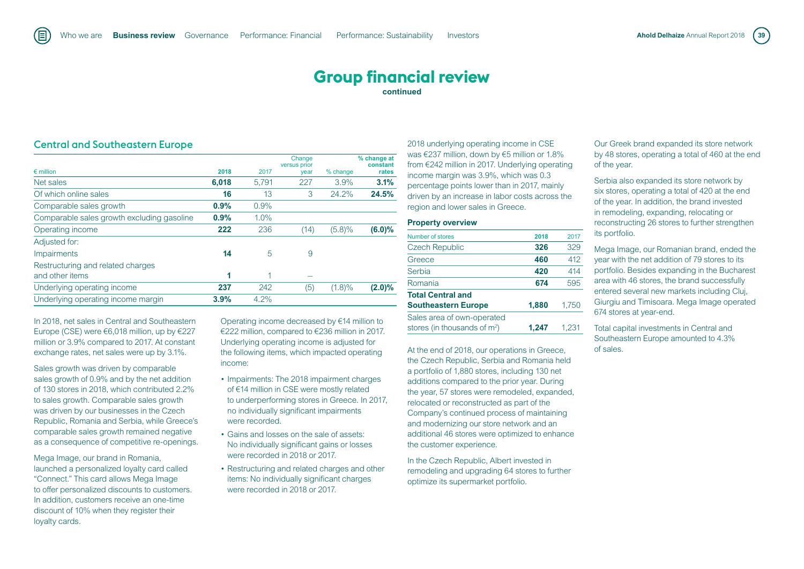Central and Southeastern Europe

|       |       | Change<br>versus prior |           | % change at<br>constant |
|-------|-------|------------------------|-----------|-------------------------|
|       |       | year                   |           | rates                   |
| 6,018 | 5.791 | 227                    | 3.9%      | 3.1%                    |
| 16    | 13    | 3                      | 24.2%     | 24.5%                   |
| 0.9%  | 0.9%  |                        |           |                         |
| 0.9%  | 1.0%  |                        |           |                         |
| 222   | 236   | (14)                   | (5.8)%    | $(6.0)\%$               |
|       |       |                        |           |                         |
| 14    | 5     | 9                      |           |                         |
|       |       |                        |           |                         |
| 1     | 1     |                        |           |                         |
| 237   | 242   | (5)                    | $(1.8)\%$ | $(2.0)\%$               |
| 3.9%  | 4.2%  |                        |           |                         |
|       | 2018  | 2017                   |           | % change                |

In 2018, net sales in Central and Southeastern Europe (CSE) were €6,018 million, up by €227 million or 3.9% compared to 2017. At constant exchange rates, net sales were up by 3.1%.

Sales growth was driven by comparable sales growth of 0.9% and by the net addition of 130 stores in 2018, which contributed 2.2% to sales growth. Comparable sales growth was driven by our businesses in the Czech Republic, Romania and Serbia, while Greece's comparable sales growth remained negative as a consequence of competitive re-openings.

Mega Image, our brand in Romania, launched a personalized loyalty card called "Connect." This card allows Mega Image to offer personalized discounts to customers. In addition, customers receive an one-time discount of 10% when they register their loyalty cards.

Operating income decreased by €14 million to €222 million, compared to €236 million in 2017. Underlying operating income is adjusted for the following items, which impacted operating income:

- Impairments: The 2018 impairment charges of €14 million in CSE were mostly related to underperforming stores in Greece. In 2017, no individually significant impairments were recorded.
- Gains and losses on the sale of assets: No individually significant gains or losses were recorded in 2018 or 2017.
- Restructuring and related charges and other items: No individually significant charges were recorded in 2018 or 2017.

2018 underlying operating income in CSE was €237 million, down by €5 million or 1.8% from €242 million in 2017. Underlying operating income margin was 3.9%, which was 0.3 percentage points lower than in 2017, mainly driven by an increase in labor costs across the region and lower sales in Greece.

#### **Property overview**

| Number of stores               | 2018  | 2017  |
|--------------------------------|-------|-------|
| <b>Czech Republic</b>          | 326   | 329   |
| Greece                         | 460   | 412   |
| Serbia                         | 420   | 414   |
| Romania                        | 674   | 595   |
| <b>Total Central and</b>       |       |       |
| <b>Southeastern Europe</b>     | 1,880 | 1,750 |
| Sales area of own-operated     |       |       |
| stores (in thousands of $m2$ ) | 1.247 | 1.231 |

At the end of 2018, our operations in Greece, the Czech Republic, Serbia and Romania held a portfolio of 1,880 stores, including 130 net additions compared to the prior year. During the year, 57 stores were remodeled, expanded, relocated or reconstructed as part of the Company's continued process of maintaining and modernizing our store network and an additional 46 stores were optimized to enhance the customer experience.

In the Czech Republic, Albert invested in remodeling and upgrading 64 stores to further optimize its supermarket portfolio.

Our Greek brand expanded its store network by 48 stores, operating a total of 460 at the end of the year.

Serbia also expanded its store network by six stores, operating a total of 420 at the end of the year. In addition, the brand invested in remodeling, expanding, relocating or reconstructing 26 stores to further strengthen its portfolio.

Mega Image, our Romanian brand, ended the year with the net addition of 79 stores to its portfolio. Besides expanding in the Bucharest area with 46 stores, the brand successfully entered several new markets including Cluj, Giurgiu and Timisoara. Mega Image operated 674 stores at year-end.

Total capital investments in Central and Southeastern Europe amounted to 4.3% of sales.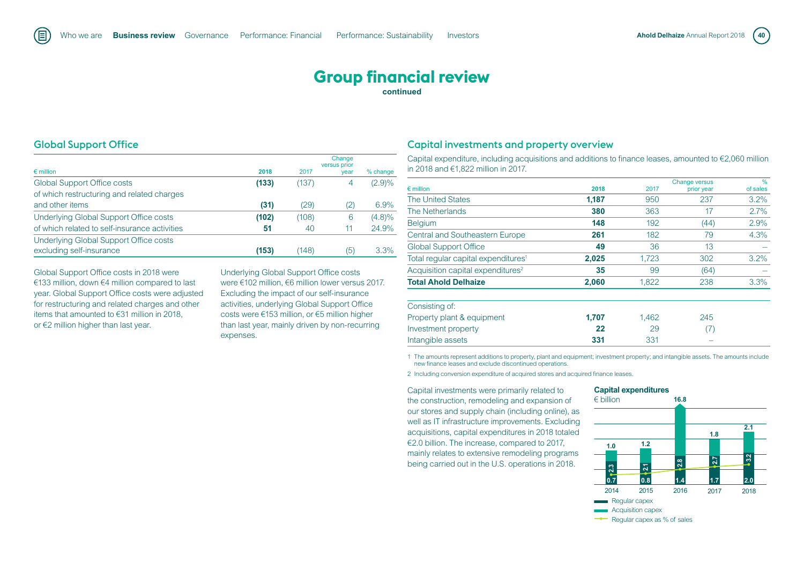## **Group financial review**

**continued**

## Global Support Office

旧

|                                               |       |       | Change<br>versus prior |           |
|-----------------------------------------------|-------|-------|------------------------|-----------|
| $\epsilon$ million                            | 2018  | 2017  | year                   | % change  |
| <b>Global Support Office costs</b>            | (133) | (137) |                        | (2.9)%    |
| of which restructuring and related charges    |       |       |                        |           |
| and other items                               | (31)  | (29)  | (2)                    | 6.9%      |
| Underlying Global Support Office costs        | (102) | (108) | 6                      | $(4.8)\%$ |
| of which related to self-insurance activities | 51    | 40    | 11                     | 24.9%     |
| Underlying Global Support Office costs        |       |       |                        |           |
| excluding self-insurance                      | (153) | (148) | (5)                    | 3.3%      |

Global Support Office costs in 2018 were €133 million, down €4 million compared to last year. Global Support Office costs were adjusted for restructuring and related charges and other items that amounted to €31 million in 2018, or €2 million higher than last year.

Underlying Global Support Office costs were €102 million, €6 million lower versus 2017. Excluding the impact of our self-insurance activities, underlying Global Support Office costs were €153 million, or €5 million higher than last year, mainly driven by non-recurring expenses.

## Capital investments and property overview

Capital expenditure, including acquisitions and additions to finance leases, amounted to €2,060 million in 2018 and €1,822 million in 2017.

|                                                 |       |       | <b>Change versus</b> | $\frac{9}{6}$ |
|-------------------------------------------------|-------|-------|----------------------|---------------|
| $\epsilon$ million                              | 2018  | 2017  | prior year           | of sales      |
| <b>The United States</b>                        | 1,187 | 950   | 237                  | 3.2%          |
| The Netherlands                                 | 380   | 363   | 17                   | 2.7%          |
| <b>Belgium</b>                                  | 148   | 192   | (44)                 | 2.9%          |
| <b>Central and Southeastern Europe</b>          | 261   | 182   | 79                   | 4.3%          |
| <b>Global Support Office</b>                    | 49    | 36    | 13                   |               |
| Total regular capital expenditures <sup>1</sup> | 2,025 | 1,723 | 302                  | 3.2%          |
| Acquisition capital expenditures <sup>2</sup>   | 35    | 99    | (64)                 |               |
| <b>Total Ahold Delhaize</b>                     | 2,060 | 1,822 | 238                  | 3.3%          |
| Consisting of:                                  |       |       |                      |               |
| Property plant & equipment                      | 1,707 | 1,462 | 245                  |               |
| Investment property                             | 22    | 29    | (7)                  |               |
| Intangible assets                               | 331   | 331   |                      |               |

1 The amounts represent additions to property, plant and equipment; investment property; and intangible assets. The amounts include new finance leases and exclude discontinued operations.

2 Including conversion expenditure of acquired stores and acquired finance leases.

Capital investments were primarily related to the construction, remodeling and expansion of our stores and supply chain (including online), as well as IT infrastructure improvements. Excluding acquisitions, capital expenditures in 2018 totaled €2.0 billion. The increase, compared to 2017, mainly relates to extensive remodeling programs being carried out in the U.S. operations in 2018.

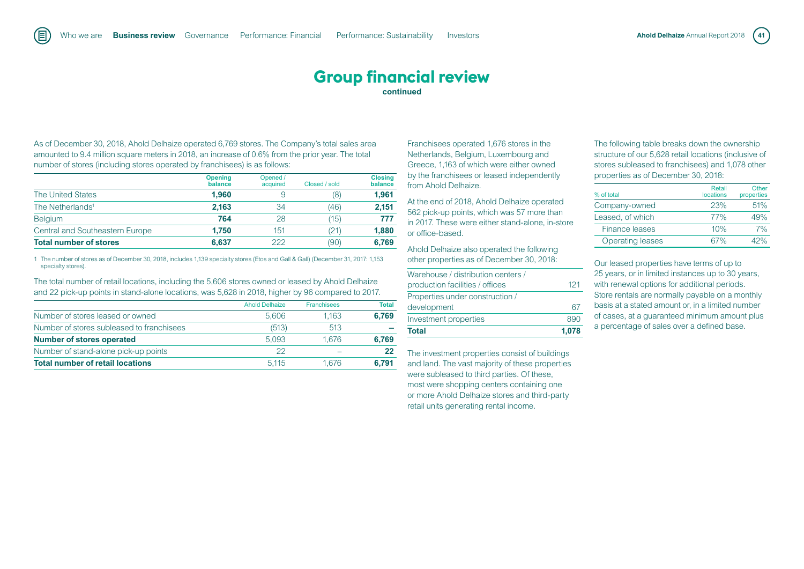As of December 30, 2018, Ahold Delhaize operated 6,769 stores. The Company's total sales area amounted to 9.4 million square meters in 2018, an increase of 0.6% from the prior year. The total number of stores (including stores operated by franchisees) is as follows:

旧

|                                 | <b>Opening</b><br>balance | Opened /<br>acquired | Closed / sold | <b>Closing</b><br>balance |
|---------------------------------|---------------------------|----------------------|---------------|---------------------------|
| <b>The United States</b>        | 1.960                     | 9                    | (8)           | 1.961                     |
| The Netherlands <sup>1</sup>    | 2.163                     | 34                   | (46)          | 2.151                     |
| <b>Belgium</b>                  | 764                       | 28                   | (15)          | 777                       |
| Central and Southeastern Europe | 1.750                     | 151                  | (21)          | 1.880                     |
| <b>Total number of stores</b>   | 6.637                     | 222                  | (90)          | 6.769                     |

1 The number of stores as of December 30, 2018, includes 1,139 specialty stores (Etos and Gall & Gall) (December 31, 2017: 1,153 specialty stores).

The total number of retail locations, including the 5,606 stores owned or leased by Ahold Delhaize and 22 pick-up points in stand-alone locations, was 5,628 in 2018, higher by 96 compared to 2017.

|                                           | <b>Ahold Delhaize</b> | <b>Franchisees</b> | <b>Total</b> |
|-------------------------------------------|-----------------------|--------------------|--------------|
| Number of stores leased or owned          | 5.606                 | 1.163              | 6.769        |
| Number of stores subleased to franchisees | (513)                 | 513                |              |
| <b>Number of stores operated</b>          | 5.093                 | 1.676              | 6.769        |
| Number of stand-alone pick-up points      | 22                    |                    | 22           |
| <b>Total number of retail locations</b>   | 5.115                 | 1.676              | 6.791        |

Franchisees operated 1,676 stores in the Netherlands, Belgium, Luxembourg and Greece, 1,163 of which were either owned by the franchisees or leased independently from Ahold Delhaize.

At the end of 2018, Ahold Delhaize operated 562 pick-up points, which was 57 more than in 2017. These were either stand-alone, in-store or office-based.

Ahold Delhaize also operated the following other properties as of December 30, 2018:

| <b>Total</b>                       | 1.078 |
|------------------------------------|-------|
| Investment properties              | 890   |
| development                        | 67    |
| Properties under construction /    |       |
| production facilities / offices    | 121   |
| Warehouse / distribution centers / |       |

The investment properties consist of buildings and land. The vast majority of these properties were subleased to third parties. Of these, most were shopping centers containing one or more Ahold Delhaize stores and third-party retail units generating rental income.

The following table breaks down the ownership structure of our 5,628 retail locations (inclusive of stores subleased to franchisees) and 1,078 other properties as of December 30, 2018:

| % of total              | <b>Retail</b><br>locations | Other<br>properties |
|-------------------------|----------------------------|---------------------|
| Company-owned           | 23%                        | 51%                 |
| Leased, of which        | 77%                        | 49%                 |
| Finance leases          | 10%                        | 7%                  |
| <b>Operating leases</b> | 67%                        | 42%                 |

Our leased properties have terms of up to 25 years, or in limited instances up to 30 years, with renewal options for additional periods. Store rentals are normally payable on a monthly basis at a stated amount or, in a limited number of cases, at a guaranteed minimum amount plus a percentage of sales over a defined base.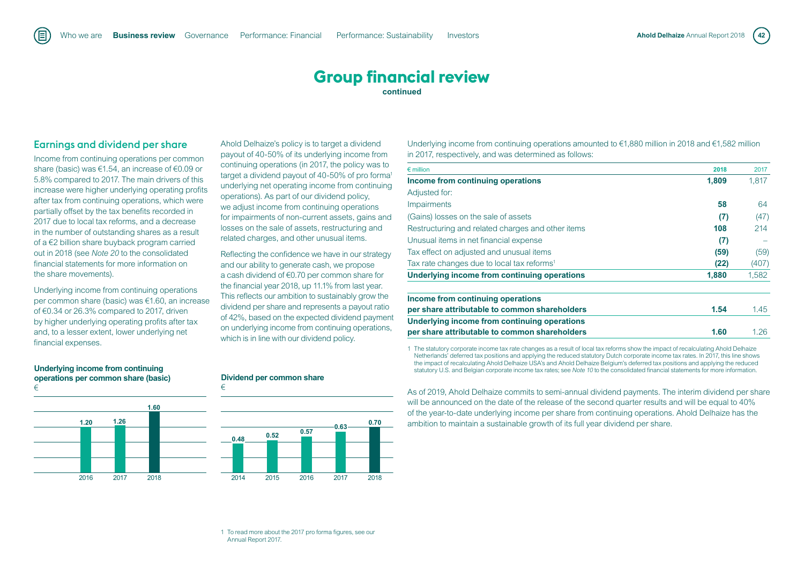## Earnings and dividend per share

Income from continuing operations per common share (basic) was €1.54, an increase of €0.09 or 5.8% compared to 2017. The main drivers of this increase were higher underlying operating profits after tax from continuing operations, which were partially offset by the tax benefits recorded in 2017 due to local tax reforms, and a decrease in the number of outstanding shares as a result of a €2 billion share buyback program carried out in 2018 (see *Note 20* to the consolidated financial statements for more information on the share movements).

Underlying income from continuing operations per common share (basic) was €1.60, an increase of €0.34 or 26.3% compared to 2017, driven by higher underlying operating profits after tax and, to a lesser extent, lower underlying net financial expenses.

Ahold Delhaize's policy is to target a dividend payout of 40-50% of its underlying income from continuing operations (in 2017, the policy was to target a dividend payout of 40-50% of pro forma<sup>1</sup> underlying net operating income from continuing operations). As part of our dividend policy, we adjust income from continuing operations for impairments of non-current assets, gains and losses on the sale of assets, restructuring and related charges, and other unusual items.

Reflecting the confidence we have in our strategy and our ability to generate cash, we propose a cash dividend of €0.70 per common share for the financial year 2018, up 11.1% from last year. This reflects our ambition to sustainably grow the dividend per share and represents a payout ratio of 42%, based on the expected dividend payment on underlying income from continuing operations, which is in line with our dividend policy.

Underlying income from continuing operations amounted to €1,880 million in 2018 and €1,582 million in 2017, respectively, and was determined as follows:

| 2018  | 2017  |
|-------|-------|
| 1,809 | 1.817 |
|       |       |
| 58    | 64    |
| (7)   | (47)  |
| 108   | 214   |
| (7)   |       |
| (59)  | (59)  |
| (22)  | (407) |
| 1,880 | 1,582 |
|       |       |
| 1.54  | 1.45  |
|       |       |
| 1.60  | 1.26  |
|       |       |

1 The statutory corporate income tax rate changes as a result of local tax reforms show the impact of recalculating Ahold Delhaize Netherlands' deferred tax positions and applying the reduced statutory Dutch corporate income tax rates. In 2017, this line shows the impact of recalculating Ahold Delhaize USA's and Ahold Delhaize Belgium's deferred tax positions and applying the reduced statutory U.S. and Belgian corporate income tax rates; see *Note 10* to the consolidated financial statements for more information.

As of 2019, Ahold Delhaize commits to semi-annual dividend payments. The interim dividend per share will be announced on the date of the release of the second quarter results and will be equal to 40% of the year-to-date underlying income per share from continuing operations. Ahold Delhaize has the ambition to maintain a sustainable growth of its full year dividend per share.

#### **Underlying income from continuing operations per common share (basic)** €



#### **Dividend per common share**

€



1 To read more about the 2017 pro forma figures, see our Annual Report 2017.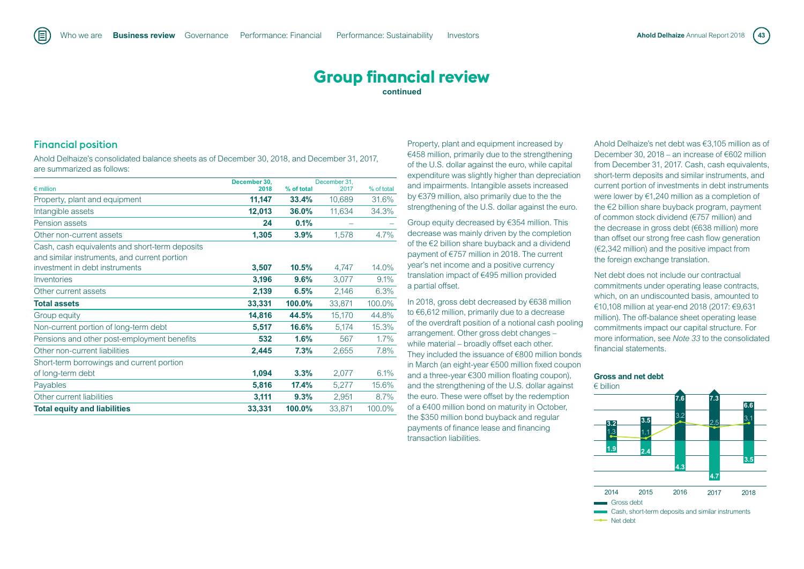## Financial position

旧

Ahold Delhaize's consolidated balance sheets as of December 30, 2018, and December 31, 2017, are summarized as follows:

| $\epsilon$ million                                                                             | December 30.<br>2018 | % of total | December 31.<br>2017 | % of total |
|------------------------------------------------------------------------------------------------|----------------------|------------|----------------------|------------|
|                                                                                                |                      |            |                      |            |
| Property, plant and equipment                                                                  | 11,147               | 33.4%      | 10,689               | 31.6%      |
| Intangible assets                                                                              | 12,013               | 36.0%      | 11,634               | 34.3%      |
| Pension assets                                                                                 | 24                   | 0.1%       |                      |            |
| Other non-current assets                                                                       | 1,305                | 3.9%       | 1,578                | 4.7%       |
| Cash, cash equivalents and short-term deposits<br>and similar instruments, and current portion |                      |            |                      |            |
| investment in debt instruments                                                                 | 3,507                | 10.5%      | 4,747                | 14.0%      |
| Inventories                                                                                    | 3,196                | 9.6%       | 3,077                | 9.1%       |
| Other current assets                                                                           | 2,139                | 6.5%       | 2,146                | 6.3%       |
| <b>Total assets</b>                                                                            | 33,331               | 100.0%     | 33,871               | 100.0%     |
| Group equity                                                                                   | 14,816               | 44.5%      | 15,170               | 44.8%      |
| Non-current portion of long-term debt                                                          | 5,517                | 16.6%      | 5,174                | 15.3%      |
| Pensions and other post-employment benefits                                                    | 532                  | 1.6%       | 567                  | 1.7%       |
| Other non-current liabilities                                                                  | 2,445                | 7.3%       | 2,655                | 7.8%       |
| Short-term borrowings and current portion                                                      |                      |            |                      |            |
| of long-term debt                                                                              | 1,094                | 3.3%       | 2,077                | 6.1%       |
| Payables                                                                                       | 5,816                | 17.4%      | 5,277                | 15.6%      |
| Other current liabilities                                                                      | 3,111                | 9.3%       | 2,951                | 8.7%       |
| <b>Total equity and liabilities</b>                                                            | 33,331               | 100.0%     | 33,871               | 100.0%     |

Property, plant and equipment increased by €458 million, primarily due to the strengthening of the U.S. dollar against the euro, while capital expenditure was slightly higher than depreciation and impairments. Intangible assets increased by €379 million, also primarily due to the the strengthening of the U.S. dollar against the euro.

Group equity decreased by €354 million. This decrease was mainly driven by the completion of the €2 billion share buyback and a dividend payment of €757 million in 2018. The current year's net income and a positive currency translation impact of €495 million provided a partial offset.

In 2018, gross debt decreased by €638 million to €6,612 million, primarily due to a decrease of the overdraft position of a notional cash pooling arrangement. Other gross debt changes – while material – broadly offset each other. They included the issuance of €800 million bonds in March (an eight-year €500 million fixed coupon and a three-year €300 million floating coupon), and the strengthening of the U.S. dollar against the euro. These were offset by the redemption of a €400 million bond on maturity in October, the \$350 million bond buyback and regular payments of finance lease and financing transaction liabilities.

Ahold Delhaize's net debt was €3,105 million as of December 30, 2018 – an increase of €602 million from December 31, 2017. Cash, cash equivalents, short-term deposits and similar instruments, and current portion of investments in debt instruments were lower by €1,240 million as a completion of the €2 billion share buyback program, payment of common stock dividend (€757 million) and the decrease in gross debt (€638 million) more than offset our strong free cash flow generation (€2,342 million) and the positive impact from the foreign exchange translation.

Net debt does not include our contractual commitments under operating lease contracts, which, on an undiscounted basis, amounted to €10,108 million at year-end 2018 (2017: €9,631 million). The off-balance sheet operating lease commitments impact our capital structure. For more information, see *Note 33* to the consolidated financial statements.

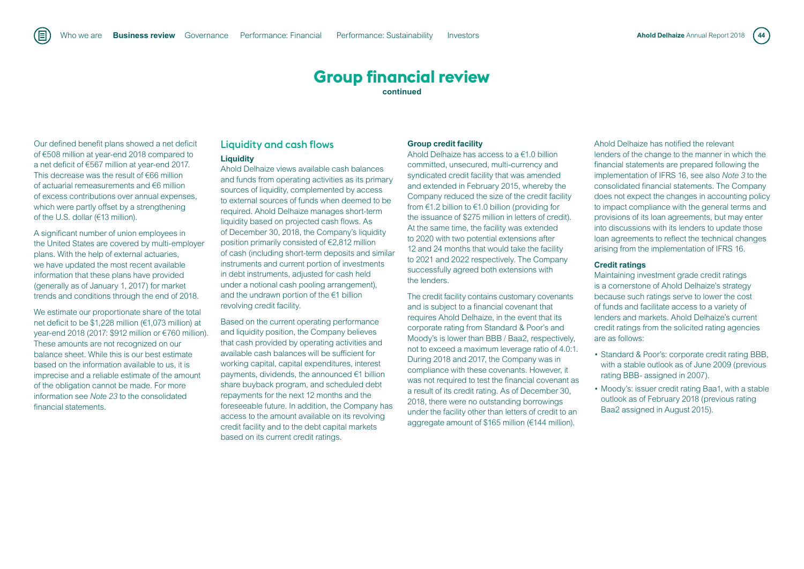Our defined benefit plans showed a net deficit of €508 million at year-end 2018 compared to a net deficit of €567 million at year-end 2017. This decrease was the result of €66 million of actuarial remeasurements and €6 million of excess contributions over annual expenses, which were partly offset by a strengthening of the U.S. dollar (€13 million).

A significant number of union employees in the United States are covered by multi-employer plans. With the help of external actuaries, we have updated the most recent available information that these plans have provided (generally as of January 1, 2017) for market trends and conditions through the end of 2018.

We estimate our proportionate share of the total net deficit to be \$1,228 million (€1,073 million) at year-end 2018 (2017: \$912 million or €760 million). These amounts are not recognized on our balance sheet. While this is our best estimate based on the information available to us, it is imprecise and a reliable estimate of the amount of the obligation cannot be made. For more information see *Note 23* to the consolidated financial statements.

## Liquidity and cash flows **Liquidity**

Ahold Delhaize views available cash balances and funds from operating activities as its primary sources of liquidity, complemented by access to external sources of funds when deemed to be required. Ahold Delhaize manages short-term liquidity based on projected cash flows. As of December 30, 2018, the Company's liquidity position primarily consisted of €2,812 million of cash (including short-term deposits and similar instruments and current portion of investments in debt instruments, adjusted for cash held under a notional cash pooling arrangement), and the undrawn portion of the €1 billion revolving credit facility.

Based on the current operating performance and liquidity position, the Company believes that cash provided by operating activities and available cash balances will be sufficient for working capital, capital expenditures, interest payments, dividends, the announced €1 billion share buyback program, and scheduled debt repayments for the next 12 months and the foreseeable future. In addition, the Company has access to the amount available on its revolving credit facility and to the debt capital markets based on its current credit ratings.

#### **Group credit facility**

Ahold Delhaize has access to a €1.0 billion committed, unsecured, multi-currency and syndicated credit facility that was amended and extended in February 2015, whereby the Company reduced the size of the credit facility from €1.2 billion to €1.0 billion (providing for the issuance of \$275 million in letters of credit). At the same time, the facility was extended to 2020 with two potential extensions after 12 and 24 months that would take the facility to 2021 and 2022 respectively. The Company successfully agreed both extensions with the lenders.

The credit facility contains customary covenants and is subject to a financial covenant that requires Ahold Delhaize, in the event that its corporate rating from Standard & Poor's and Moody's is lower than BBB / Baa2, respectively, not to exceed a maximum leverage ratio of 4.0:1. During 2018 and 2017, the Company was in compliance with these covenants. However, it was not required to test the financial covenant as a result of its credit rating. As of December 30, 2018, there were no outstanding borrowings under the facility other than letters of credit to an aggregate amount of \$165 million (€144 million).

Ahold Delhaize has notified the relevant lenders of the change to the manner in which the financial statements are prepared following the implementation of IFRS 16, see also *Note 3* to the consolidated financial statements. The Company does not expect the changes in accounting policy to impact compliance with the general terms and provisions of its loan agreements, but may enter into discussions with its lenders to update those loan agreements to reflect the technical changes arising from the implementation of IFRS 16.

#### **Credit ratings**

Maintaining investment grade credit ratings is a cornerstone of Ahold Delhaize's strategy because such ratings serve to lower the cost of funds and facilitate access to a variety of lenders and markets. Ahold Delhaize's current credit ratings from the solicited rating agencies are as follows:

- Standard & Poor's: corporate credit rating BBB, with a stable outlook as of June 2009 (previous rating BBB- assigned in 2007).
- Moody's: issuer credit rating Baa1, with a stable outlook as of February 2018 (previous rating Baa2 assigned in August 2015).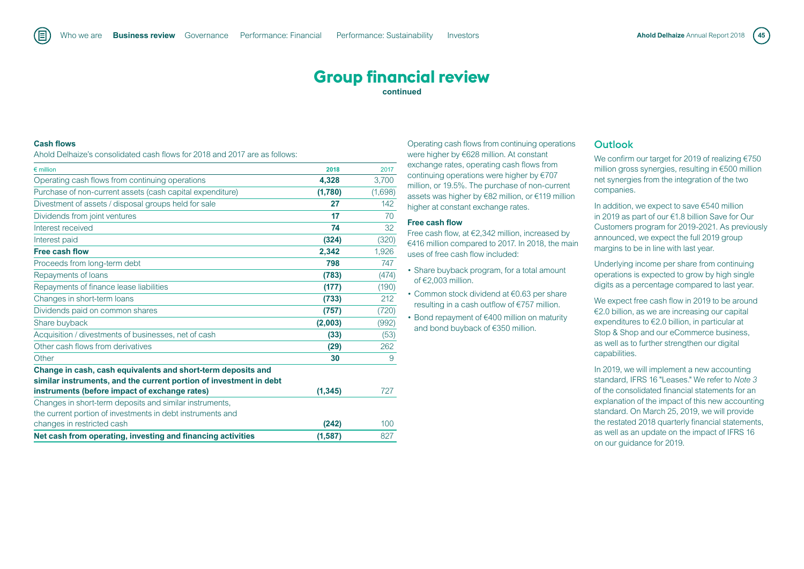### **Cash flows**

Ahold Delhaize's consolidated cash flows for 2018 and 2017 are as follows:

| $\epsilon$ million                                                 | 2018     | 2017    |
|--------------------------------------------------------------------|----------|---------|
| Operating cash flows from continuing operations                    | 4,328    | 3,700   |
| Purchase of non-current assets (cash capital expenditure)          | (1,780)  | (1,698) |
| Divestment of assets / disposal groups held for sale               | 27       | 142     |
| Dividends from joint ventures                                      | 17       | 70      |
| Interest received                                                  | 74       | 32      |
| Interest paid                                                      | (324)    | (320)   |
| Free cash flow                                                     | 2,342    | 1,926   |
| Proceeds from long-term debt                                       | 798      | 747     |
| Repayments of loans                                                | (783)    | (474)   |
| Repayments of finance lease liabilities                            | (177)    | (190)   |
| Changes in short-term loans                                        | (733)    | 212     |
| Dividends paid on common shares                                    | (757)    | (720)   |
| Share buyback                                                      | (2,003)  | (992)   |
| Acquisition / divestments of businesses, net of cash               | (33)     | (53)    |
| Other cash flows from derivatives                                  | (29)     | 262     |
| Other                                                              | 30       | 9       |
| Change in cash, cash equivalents and short-term deposits and       |          |         |
| similar instruments, and the current portion of investment in debt |          |         |
| instruments (before impact of exchange rates)                      | (1, 345) | 727     |
| Changes in short-term deposits and similar instruments,            |          |         |
| the current portion of investments in debt instruments and         |          |         |
| changes in restricted cash                                         | (242)    | 100     |
| Net cash from operating, investing and financing activities        | (1, 587) | 827     |

Operating cash flows from continuing operations were higher by €628 million. At constant exchange rates, operating cash flows from continuing operations were higher by €707 million, or 19.5%. The purchase of non-current assets was higher by €82 million, or €119 million higher at constant exchange rates.

#### **Free cash flow**

Free cash flow, at €2,342 million, increased by €416 million compared to 2017. In 2018, the main uses of free cash flow included:

- Share buyback program, for a total amount of €2,003 million.
- Common stock dividend at €0.63 per share resulting in a cash outflow of €757 million.
- Bond repayment of €400 million on maturity and bond buyback of €350 million.

#### **Outlook**

We confirm our target for 2019 of realizing €750 million gross synergies, resulting in €500 million net synergies from the integration of the two companies.

In addition, we expect to save €540 million in 2019 as part of our €1.8 billion Save for Our Customers program for 2019-2021. As previously announced, we expect the full 2019 group margins to be in line with last year.

Underlying income per share from continuing operations is expected to grow by high single digits as a percentage compared to last year.

We expect free cash flow in 2019 to be around €2.0 billion, as we are increasing our capital expenditures to €2.0 billion, in particular at Stop & Shop and our eCommerce business, as well as to further strengthen our digital capabilities.

In 2019, we will implement a new accounting standard, IFRS 16 "Leases." We refer to *Note 3* of the consolidated financial statements for an explanation of the impact of this new accounting standard. On March 25, 2019, we will provide the restated 2018 quarterly financial statements, as well as an update on the impact of IFRS 16 on our guidance for 2019.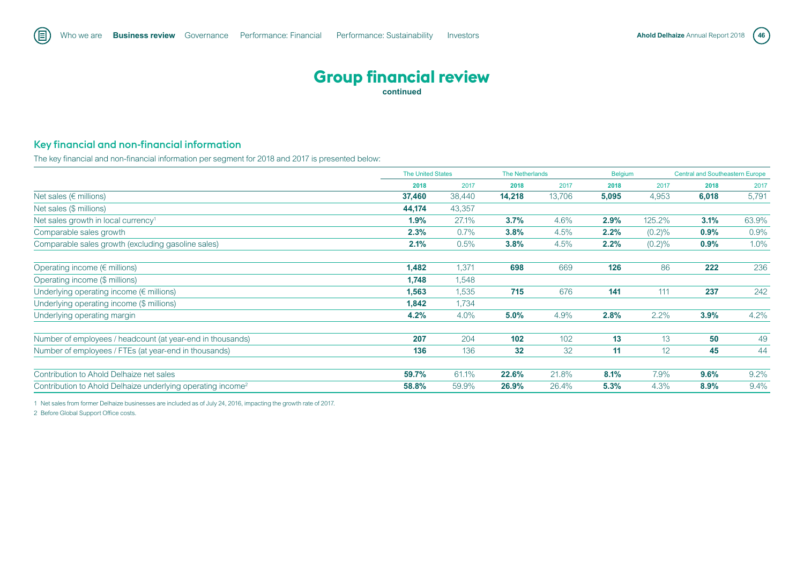## Key financial and non-financial information

The key financial and non-financial information per segment for 2018 and 2017 is presented below:

|                                                                         | <b>The United States</b> |         | <b>The Netherlands</b> |        | <b>Belgium</b> |           | <b>Central and Southeastern Europe</b> |       |
|-------------------------------------------------------------------------|--------------------------|---------|------------------------|--------|----------------|-----------|----------------------------------------|-------|
|                                                                         | 2018                     | 2017    | 2018                   | 2017   | 2018           | 2017      | 2018                                   | 2017  |
| Net sales ( $\epsilon$ millions)                                        | 37,460                   | 38,440  | 14,218                 | 13,706 | 5,095          | 4,953     | 6,018                                  | 5,791 |
| Net sales (\$ millions)                                                 | 44,174                   | 43,357  |                        |        |                |           |                                        |       |
| Net sales growth in local currency <sup>1</sup>                         | 1.9%                     | 27.1%   | 3.7%                   | 4.6%   | 2.9%           | 125.2%    | 3.1%                                   | 63.9% |
| Comparable sales growth                                                 | 2.3%                     | $0.7\%$ | 3.8%                   | 4.5%   | 2.2%           | $(0.2)\%$ | 0.9%                                   | 0.9%  |
| Comparable sales growth (excluding gasoline sales)                      | 2.1%                     | 0.5%    | 3.8%                   | 4.5%   | 2.2%           | $(0.2)\%$ | 0.9%                                   | 1.0%  |
| Operating income ( $\epsilon$ millions)                                 | 1,482                    | 1,371   | 698                    | 669    | 126            | 86        | 222                                    | 236   |
| Operating income (\$ millions)                                          | 1,748                    | 1,548   |                        |        |                |           |                                        |       |
| Underlying operating income $(\epsilon$ millions)                       | 1,563                    | 1,535   | 715                    | 676    | 141            | 111       | 237                                    | 242   |
| Underlying operating income (\$ millions)                               | 1,842                    | 1,734   |                        |        |                |           |                                        |       |
| Underlying operating margin                                             | 4.2%                     | 4.0%    | 5.0%                   | 4.9%   | 2.8%           | 2.2%      | 3.9%                                   | 4.2%  |
| Number of employees / headcount (at year-end in thousands)              | 207                      | 204     | 102                    | 102    | 13             | 13        | 50                                     | 49    |
| Number of employees / FTEs (at year-end in thousands)                   | 136                      | 136     | 32                     | 32     | 11             | 12        | 45                                     | 44    |
| Contribution to Ahold Delhaize net sales                                | 59.7%                    | 61.1%   | 22.6%                  | 21.8%  | 8.1%           | 7.9%      | 9.6%                                   | 9.2%  |
| Contribution to Ahold Delhaize underlying operating income <sup>2</sup> | 58.8%                    | 59.9%   | 26.9%                  | 26.4%  | 5.3%           | 4.3%      | 8.9%                                   | 9.4%  |

1 Net sales from former Delhaize businesses are included as of July 24, 2016, impacting the growth rate of 2017.

2 Before Global Support Office costs.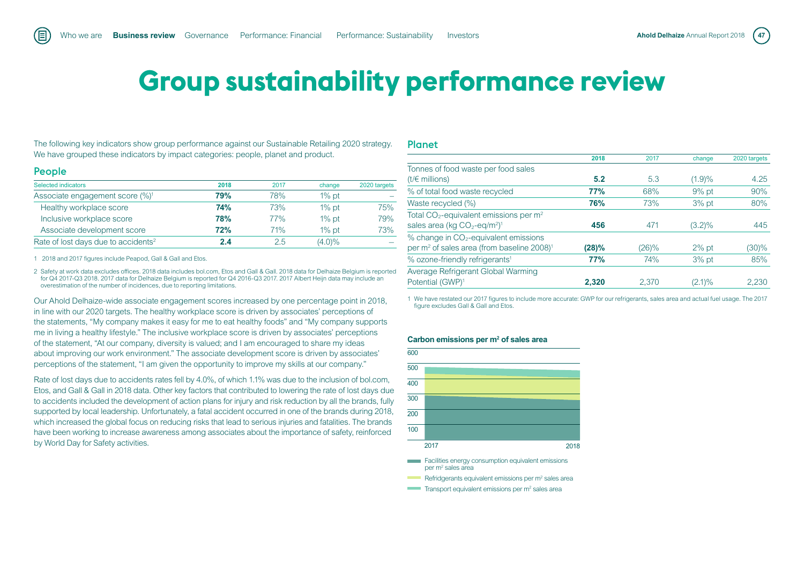# **Group sustainability performance review**

The following key indicators show group performance against our Sustainable Retailing 2020 strategy. We have grouped these indicators by impact categories: people, planet and product.

#### People

旧

| Selected indicators                             | 2018       | 2017 | change    | 2020 targets |
|-------------------------------------------------|------------|------|-----------|--------------|
| Associate engagement score (%) <sup>1</sup>     | 79%        | 78%  | $1\%$ pt  |              |
| Healthy workplace score                         | 74%        | 73%  | $1\%$ pt  | 75%          |
| Inclusive workplace score                       | <b>78%</b> | 77%  | $1\%$ pt  | 79%          |
| Associate development score                     | <b>72%</b> | 71%  | $1\%$ pt  | 73%          |
| Rate of lost days due to accidents <sup>2</sup> | 2.4        | 2.5  | $(4.0)\%$ |              |

1 2018 and 2017 figures include Peapod, Gall & Gall and Etos.

2 Safety at work data excludes offices. 2018 data includes bol.com, Etos and Gall & Gall. 2018 data for Delhaize Belgium is reported for Q4 2017-Q3 2018. 2017 data for Delhaize Belgium is reported for Q4 2016-Q3 2017. 2017 Albert Heijn data may include an overestimation of the number of incidences, due to reporting limitations.

Our Ahold Delhaize-wide associate engagement scores increased by one percentage point in 2018, in line with our 2020 targets. The healthy workplace score is driven by associates' perceptions of the statements, "My company makes it easy for me to eat healthy foods" and "My company supports me in living a healthy lifestyle." The inclusive workplace score is driven by associates' perceptions of the statement, "At our company, diversity is valued; and I am encouraged to share my ideas about improving our work environment." The associate development score is driven by associates' perceptions of the statement, "I am given the opportunity to improve my skills at our company."

Rate of lost days due to accidents rates fell by 4.0%, of which 1.1% was due to the inclusion of bol.com, Etos, and Gall & Gall in 2018 data. Other key factors that contributed to lowering the rate of lost days due to accidents included the development of action plans for injury and risk reduction by all the brands, fully supported by local leadership. Unfortunately, a fatal accident occurred in one of the brands during 2018, which increased the global focus on reducing risks that lead to serious injuries and fatalities. The brands have been working to increase awareness among associates about the importance of safety, reinforced by World Day for Safety activities.

#### Planet

|                                                                    | 2018  | 2017  | change    | 2020 targets |
|--------------------------------------------------------------------|-------|-------|-----------|--------------|
| Tonnes of food waste per food sales                                |       |       |           |              |
| $(t/\epsilon$ millions)                                            | 5.2   | 5.3   | (1.9)%    | 4.25         |
| % of total food waste recycled                                     | 77%   | 68%   | $9%$ pt   | 90%          |
| Waste recycled (%)                                                 | 76%   | 73%   | $3%$ pt   | 80%          |
| Total $CO_2$ -equivalent emissions per m <sup>2</sup>              |       |       |           |              |
| sales area (kg $CO_2$ -eq/m <sup>2</sup> ) <sup>1</sup>            | 456   | 471   | $(3.2)\%$ | 445          |
| % change in $CO2$ -equivalent emissions                            |       |       |           |              |
| per m <sup>2</sup> of sales area (from baseline 2008) <sup>1</sup> | (28)% | (26)% | $2\%$ pt  | (30)%        |
| % ozone-friendly refrigerants <sup>1</sup>                         | 77%   | 74%   | $3%$ pt   | 85%          |
| Average Refrigerant Global Warming                                 |       |       |           |              |
| Potential (GWP) <sup>1</sup>                                       | 2,320 | 2.370 | $(2.1)\%$ | 2,230        |

1 We have restated our 2017 figures to include more accurate: GWP for our refrigerants, sales area and actual fuel usage. The 2017 figure excludes Gall & Gall and Etos.

#### **Carbon emissions per m2 of sales area**



- Facilities energy consumption equivalent emissions per m2 sales area
- Refridgerants equivalent emissions per m<sup>2</sup> sales area
- Transport equivalent emissions per  $m<sup>2</sup>$  sales area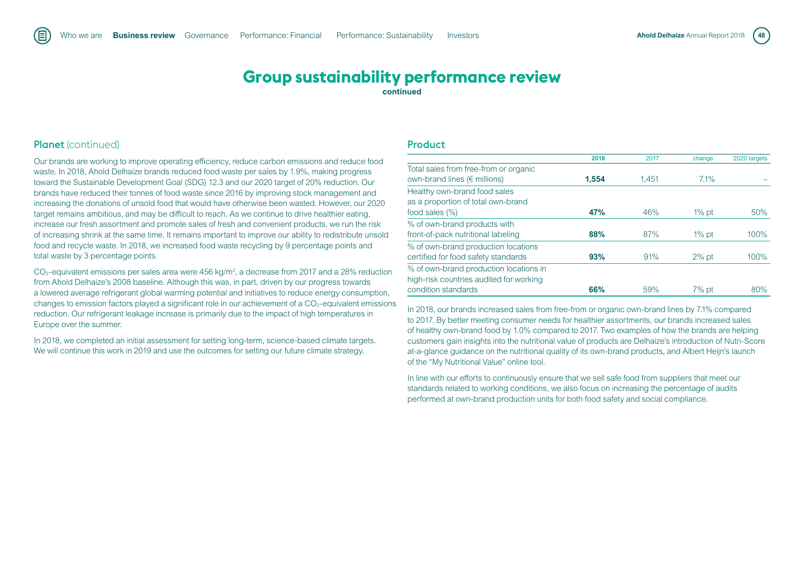## **Group sustainability performance review**

**continued**

## Planet (continued)

Our brands are working to improve operating efficiency, reduce carbon emissions and reduce food waste. In 2018, Ahold Delhaize brands reduced food waste per sales by 1.9%, making progress toward the Sustainable Development Goal (SDG) 12.3 and our 2020 target of 20% reduction. Our brands have reduced their tonnes of food waste since 2016 by improving stock management and increasing the donations of unsold food that would have otherwise been wasted. However, our 2020 target remains ambitious, and may be difficult to reach. As we continue to drive healthier eating, increase our fresh assortment and promote sales of fresh and convenient products, we run the risk of increasing shrink at the same time. It remains important to improve our ability to redistribute unsold food and recycle waste. In 2018, we increased food waste recycling by 9 percentage points and total waste by 3 percentage points.

 $CO<sub>2</sub>$ -equivalent emissions per sales area were 456 kg/m<sup>2</sup>, a decrease from 2017 and a 28% reduction from Ahold Delhaize's 2008 baseline. Although this was, in part, driven by our progress towards a lowered average refrigerant global warming potential and initiatives to reduce energy consumption, changes to emission factors played a significant role in our achievement of a  $CO<sub>2</sub>$ -equivalent emissions reduction. Our refrigerant leakage increase is primarily due to the impact of high temperatures in Europe over the summer.

In 2018, we completed an initial assessment for setting long-term, science-based climate targets. We will continue this work in 2019 and use the outcomes for setting our future climate strategy.

#### Product

|                                         | 2018       | 2017  | change   | 2020 targets |
|-----------------------------------------|------------|-------|----------|--------------|
| Total sales from free-from or organic   |            |       |          |              |
| own-brand lines ( $\epsilon$ millions)  | 1.554      | 1.451 | $7.1\%$  |              |
| Healthy own-brand food sales            |            |       |          |              |
| as a proportion of total own-brand      |            |       |          |              |
| food sales (%)                          | <b>47%</b> | 46%   | $1\%$ pt | 50%          |
| % of own-brand products with            |            |       |          |              |
| front-of-pack nutritional labeling      | 88%        | 87%   | $1\%$ pt | 100%         |
| % of own-brand production locations     |            |       |          |              |
| certified for food safety standards     | 93%        | 91%   | $2\%$ pt | 100%         |
| % of own-brand production locations in  |            |       |          |              |
| high-risk countries audited for working |            |       |          |              |
| condition standards                     | 66%        | 59%   | $7%$ pt  | 80%          |

In 2018, our brands increased sales from free-from or organic own-brand lines by 7.1% compared to 2017. By better meeting consumer needs for healthier assortments, our brands increased sales of healthy own-brand food by 1.0% compared to 2017. Two examples of how the brands are helping customers gain insights into the nutritional value of products are Delhaize's introduction of Nutri-Score at-a-glance guidance on the nutritional quality of its own-brand products, and Albert Heijn's launch of the "My Nutritional Value" online tool.

In line with our efforts to continuously ensure that we sell safe food from suppliers that meet our standards related to working conditions, we also focus on increasing the percentage of audits performed at own-brand production units for both food safety and social compliance.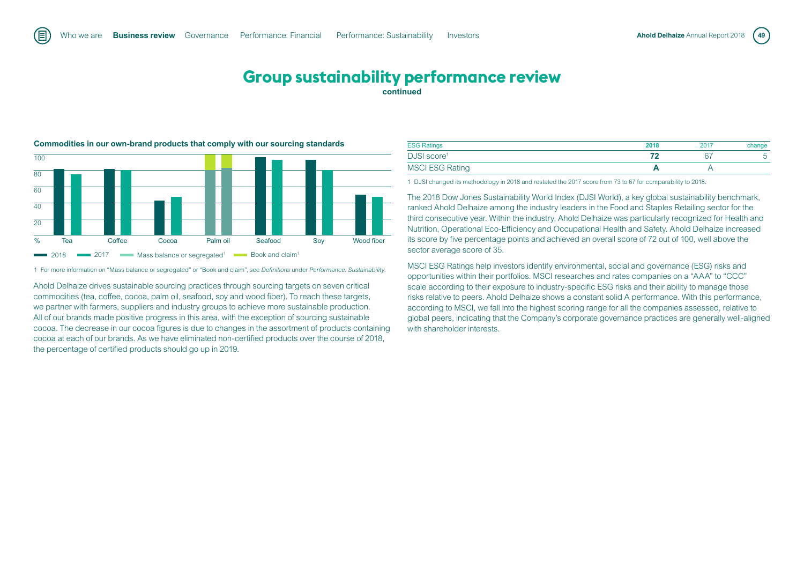## **Group sustainability performance review continued**



**Commodities in our own-brand products that comply with our sourcing standards** 

1 For more information on "Mass balance or segregated" or "Book and claim", see *Definitions* under *Performance: Sustainability.*

Ahold Delhaize drives sustainable sourcing practices through sourcing targets on seven critical commodities (tea, coffee, cocoa, palm oil, seafood, soy and wood fiber). To reach these targets, we partner with farmers, suppliers and industry groups to achieve more sustainable production. All of our brands made positive progress in this area, with the exception of sourcing sustainable cocoa. The decrease in our cocoa figures is due to changes in the assortment of products containing cocoa at each of our brands. As we have eliminated non-certified products over the course of 2018, the percentage of certified products should go up in 2019.

| <b>ESG Ratings</b>      | 2018 | 2017 | change |
|-------------------------|------|------|--------|
| DJSI score <sup>1</sup> |      |      |        |
| <b>MSCI ESG Rating</b>  |      |      |        |

1 DJSI changed its methodology in 2018 and restated the 2017 score from 73 to 67 for comparability to 2018.

The 2018 Dow Jones Sustainability World Index (DJSI World), a key global sustainability benchmark, ranked Ahold Delhaize among the industry leaders in the Food and Staples Retailing sector for the third consecutive year. Within the industry, Ahold Delhaize was particularly recognized for Health and Nutrition, Operational Eco-Efficiency and Occupational Health and Safety. Ahold Delhaize increased its score by five percentage points and achieved an overall score of 72 out of 100, well above the sector average score of 35.

MSCI ESG Ratings help investors identify environmental, social and governance (ESG) risks and opportunities within their portfolios. MSCI researches and rates companies on a "AAA" to "CCC" scale according to their exposure to industry-specific ESG risks and their ability to manage those risks relative to peers. Ahold Delhaize shows a constant solid A performance. With this performance, according to MSCI, we fall into the highest scoring range for all the companies assessed, relative to global peers, indicating that the Company's corporate governance practices are generally well-aligned with shareholder interests.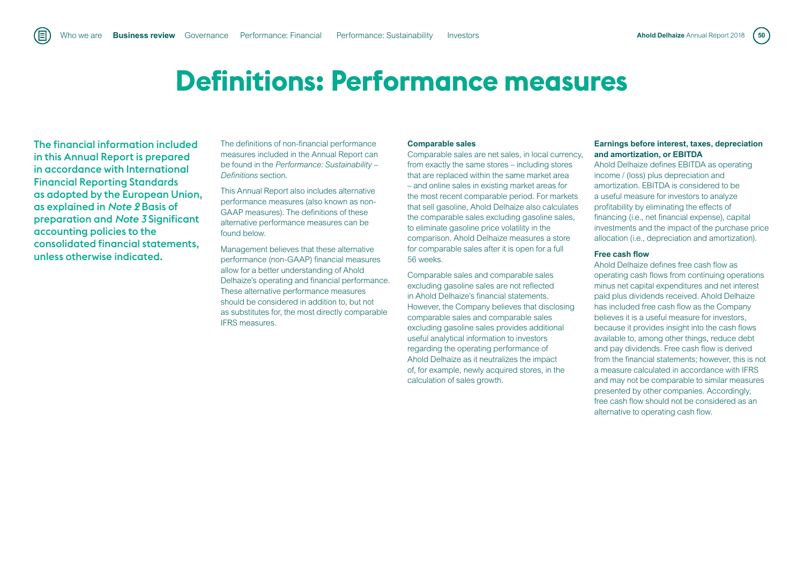## **Definitions: Performance measures**

The financial information included in this Annual Report is prepared in accordance with International Financial Reporting Standards as adopted by the European Union, as explained in *Note 2* Basis of preparation and *Note 3* Significant accounting policies to the consolidated financial statements, unless otherwise indicated.

旧

The definitions of non-financial performance measures included in the Annual Report can be found in the *Performance: Sustainability – Definitions* section.

This Annual Report also includes alternative performance measures (also known as non-GAAP measures). The definitions of these alternative performance measures can be found below.

Management believes that these alternative performance (non-GAAP) financial measures allow for a better understanding of Ahold Delhaize's operating and financial performance. These alternative performance measures should be considered in addition to, but not as substitutes for, the most directly comparable IFRS measures.

#### **Comparable sales**

Comparable sales are net sales, in local currency, from exactly the same stores – including stores that are replaced within the same market area – and online sales in existing market areas for the most recent comparable period. For markets that sell gasoline, Ahold Delhaize also calculates the comparable sales excluding gasoline sales. to eliminate gasoline price volatility in the comparison. Ahold Delhaize measures a store for comparable sales after it is open for a full 56 weeks.

Comparable sales and comparable sales excluding gasoline sales are not reflected in Ahold Delhaize's financial statements. However, the Company believes that disclosing comparable sales and comparable sales excluding gasoline sales provides additional useful analytical information to investors regarding the operating performance of Ahold Delhaize as it neutralizes the impact of, for example, newly acquired stores, in the calculation of sales growth.

#### **Earnings before interest, taxes, depreciation and amortization, or EBITDA**

Ahold Delhaize defines EBITDA as operating income / (loss) plus depreciation and amortization. EBITDA is considered to be a useful measure for investors to analyze profitability by eliminating the effects of financing (i.e., net financial expense), capital investments and the impact of the purchase price allocation (i.e., depreciation and amortization).

#### **Free cash flow**

Ahold Delhaize defines free cash flow as operating cash flows from continuing operations minus net capital expenditures and net interest paid plus dividends received. Ahold Delhaize has included free cash flow as the Company believes it is a useful measure for investors, because it provides insight into the cash flows available to, among other things, reduce debt and pay dividends. Free cash flow is derived from the financial statements; however, this is not a measure calculated in accordance with IFRS and may not be comparable to similar measures presented by other companies. Accordingly, free cash flow should not be considered as an alternative to operating cash flow.